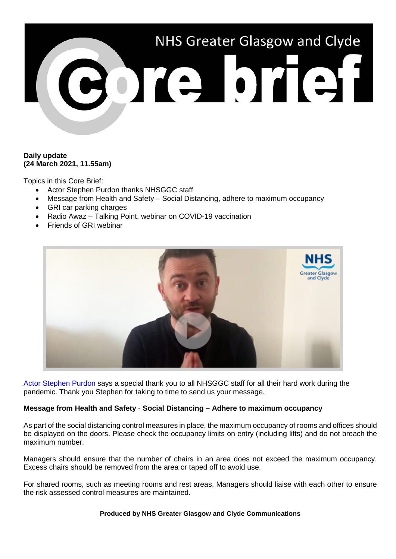

# **Daily update (24 March 2021, 11.55am)**

Topics in this Core Brief:

- Actor Stephen Purdon thanks NHSGGC staff
- Message from Health and Safety Social Distancing, adhere to maximum occupancy
- GRI car parking charges
- Radio Awaz Talking Point, webinar on COVID-19 vaccination
- Friends of GRI webinar



[Actor Stephen Purdon](https://www.youtube.com/watch?v=xbBJZgtIwpU) says a special thank you to all NHSGGC staff for all their hard work during the pandemic. Thank you Stephen for taking to time to send us your message.

### **Message from Health and Safety - Social Distancing – Adhere to maximum occupancy**

As part of the social distancing control measures in place, the maximum occupancy of rooms and offices should be displayed on the doors. Please check the occupancy limits on entry (including lifts) and do not breach the maximum number.

Managers should ensure that the number of chairs in an area does not exceed the maximum occupancy. Excess chairs should be removed from the area or taped off to avoid use.

For shared rooms, such as meeting rooms and rest areas, Managers should liaise with each other to ensure the risk assessed control measures are maintained.

#### **Produced by NHS Greater Glasgow and Clyde Communications**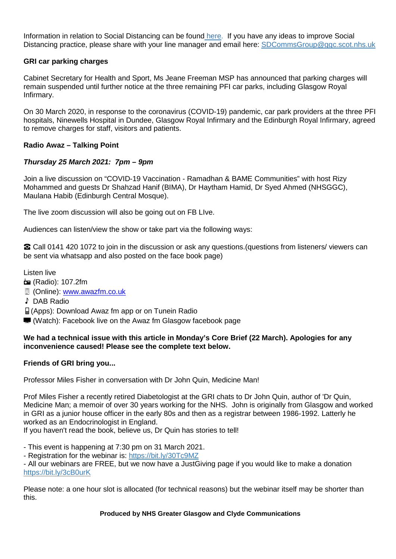Information in relation to Social Distancing can be found [here.](https://www.nhsggc.org.uk/your-health/health-issues/covid-19-coronavirus/for-nhsggc-staff/social-distancing-in-the-workplace/) If you have any ideas to improve Social Distancing practice, please share with your line manager and email here: [SDCommsGroup@ggc.scot.nhs.uk](mailto:SDCommsGroup@ggc.scot.nhs.uk)

# **GRI car parking charges**

Cabinet Secretary for Health and Sport, Ms Jeane Freeman MSP has announced that parking charges will remain suspended until further notice at the three remaining PFI car parks, including Glasgow Royal Infirmary.

On 30 March 2020, in response to the coronavirus (COVID-19) pandemic, car park providers at the three PFI hospitals, Ninewells Hospital in Dundee, Glasgow Royal Infirmary and the Edinburgh Royal Infirmary, agreed to remove charges for staff, visitors and patients.

### **Radio Awaz – Talking Point**

# *Thursday 25 March 2021: 7pm – 9pm*

Join a live discussion on "COVID-19 Vaccination - Ramadhan & BAME Communities" with host Rizy Mohammed and guests Dr Shahzad Hanif (BIMA), Dr Haytham Hamid, Dr Syed Ahmed (NHSGGC), Maulana Habib (Edinburgh Central Mosque).

The live zoom discussion will also be going out on FB LIve.

Audiences can listen/view the show or take part via the following ways:

☎ Call 0141 420 1072 to join in the discussion or ask any questions.(questions from listeners/ viewers can be sent via whatsapp and also posted on the face book page)

Listen live

(Radio): 107.2fm

- **D** (Online): [www.awazfm.co.uk](http://www.awazfm.co.uk/)
- ♪ DAB Radio
- (Apps): Download Awaz fm app or on Tunein Radio
- (Watch): Facebook live on the Awaz fm Glasgow facebook page

### **We had a technical issue with this article in Monday's Core Brief (22 March). Apologies for any inconvenience caused! Please see the complete text below.**

### **Friends of GRI bring you...**

Professor Miles Fisher in conversation with Dr John Quin, Medicine Man!

Prof Miles Fisher a recently retired Diabetologist at the GRI chats to Dr John Quin, author of 'Dr Quin, Medicine Man; a memoir of over 30 years working for the NHS. John is originally from Glasgow and worked in GRI as a junior house officer in the early 80s and then as a registrar between 1986-1992. Latterly he worked as an Endocrinologist in England.

If you haven't read the book, believe us, Dr Quin has stories to tell!

- This event is happening at 7:30 pm on 31 March 2021.

- Registration for the webinar is:<https://bit.ly/30Tc9MZ>

- All our webinars are FREE, but we now have a JustGiving page if you would like to make a donation <https://bit.ly/3cB0urK>

Please note: a one hour slot is allocated (for technical reasons) but the webinar itself may be shorter than this.

**Produced by NHS Greater Glasgow and Clyde Communications**